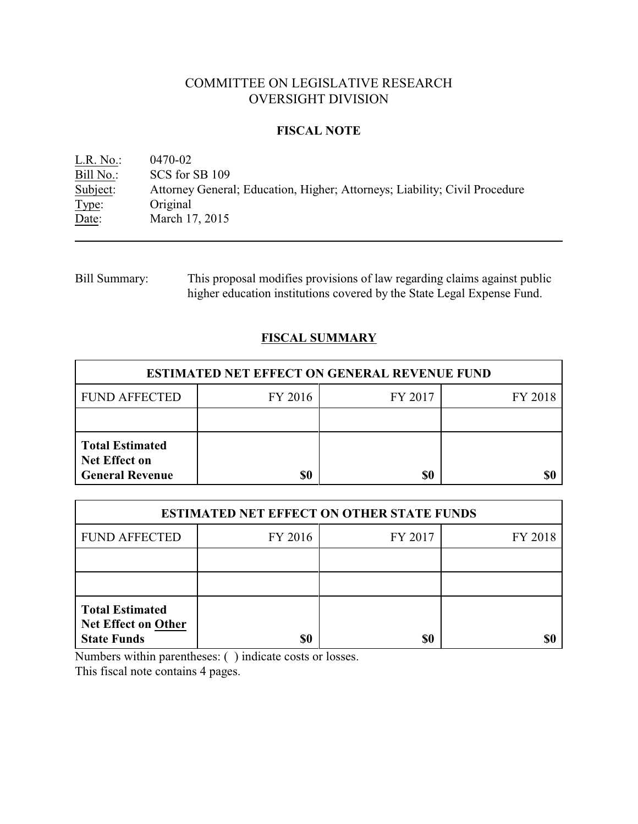# COMMITTEE ON LEGISLATIVE RESEARCH OVERSIGHT DIVISION

#### **FISCAL NOTE**

<u>L.R. No.:</u> 0470-02<br>Bill No.: SCS for : Bill No.: SCS for SB 109<br>Subject: Attorney Genera Attorney General; Education, Higher; Attorneys; Liability; Civil Procedure Type: Original Date: March 17, 2015

Bill Summary: This proposal modifies provisions of law regarding claims against public higher education institutions covered by the State Legal Expense Fund.

## **FISCAL SUMMARY**

| <b>ESTIMATED NET EFFECT ON GENERAL REVENUE FUND</b>                      |         |         |         |  |
|--------------------------------------------------------------------------|---------|---------|---------|--|
| <b>FUND AFFECTED</b>                                                     | FY 2016 | FY 2017 | FY 2018 |  |
|                                                                          |         |         |         |  |
| <b>Total Estimated</b><br><b>Net Effect on</b><br><b>General Revenue</b> | \$0     | \$0     |         |  |

| <b>ESTIMATED NET EFFECT ON OTHER STATE FUNDS</b>                           |         |         |         |  |
|----------------------------------------------------------------------------|---------|---------|---------|--|
| <b>FUND AFFECTED</b>                                                       | FY 2016 | FY 2017 | FY 2018 |  |
|                                                                            |         |         |         |  |
|                                                                            |         |         |         |  |
| <b>Total Estimated</b><br><b>Net Effect on Other</b><br><b>State Funds</b> | \$0     | \$0     |         |  |

Numbers within parentheses: ( ) indicate costs or losses.

This fiscal note contains 4 pages.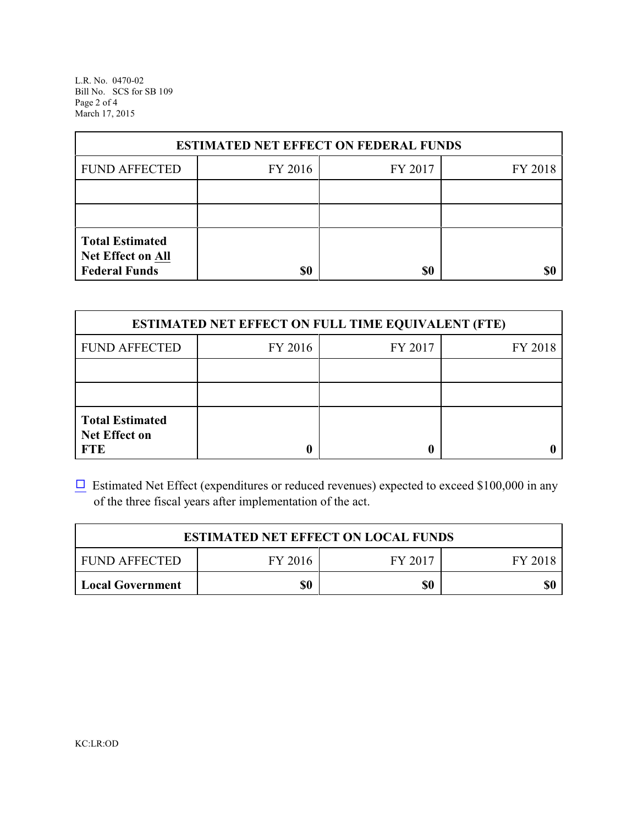L.R. No. 0470-02 Bill No. SCS for SB 109 Page 2 of 4 March 17, 2015

| <b>ESTIMATED NET EFFECT ON FEDERAL FUNDS</b>                        |         |         |         |  |
|---------------------------------------------------------------------|---------|---------|---------|--|
| <b>FUND AFFECTED</b>                                                | FY 2016 | FY 2017 | FY 2018 |  |
|                                                                     |         |         |         |  |
|                                                                     |         |         |         |  |
| <b>Total Estimated</b><br>Net Effect on All<br><b>Federal Funds</b> | \$0     | \$0     |         |  |

| <b>ESTIMATED NET EFFECT ON FULL TIME EQUIVALENT (FTE)</b>    |         |         |         |  |
|--------------------------------------------------------------|---------|---------|---------|--|
| <b>FUND AFFECTED</b>                                         | FY 2016 | FY 2017 | FY 2018 |  |
|                                                              |         |         |         |  |
|                                                              |         |         |         |  |
| <b>Total Estimated</b><br><b>Net Effect on</b><br><b>FTE</b> |         |         |         |  |

 $\Box$  Estimated Net Effect (expenditures or reduced revenues) expected to exceed \$100,000 in any of the three fiscal years after implementation of the act.

| <b>ESTIMATED NET EFFECT ON LOCAL FUNDS</b> |         |         |         |
|--------------------------------------------|---------|---------|---------|
| <b>FUND AFFECTED</b>                       | FY 2016 | FY 2017 | FY 2018 |
| <b>Local Government</b>                    | \$0     | \$0     | \$0     |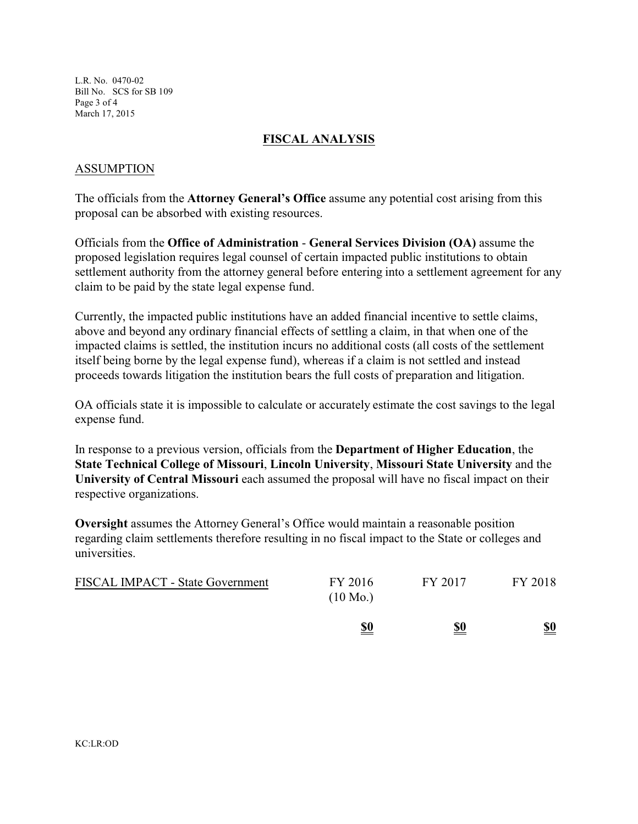L.R. No. 0470-02 Bill No. SCS for SB 109 Page 3 of 4 March 17, 2015

## **FISCAL ANALYSIS**

## ASSUMPTION

The officials from the **Attorney General's Office** assume any potential cost arising from this proposal can be absorbed with existing resources.

Officials from the **Office of Administration** - **General Services Division (OA)** assume the proposed legislation requires legal counsel of certain impacted public institutions to obtain settlement authority from the attorney general before entering into a settlement agreement for any claim to be paid by the state legal expense fund.

Currently, the impacted public institutions have an added financial incentive to settle claims, above and beyond any ordinary financial effects of settling a claim, in that when one of the impacted claims is settled, the institution incurs no additional costs (all costs of the settlement itself being borne by the legal expense fund), whereas if a claim is not settled and instead proceeds towards litigation the institution bears the full costs of preparation and litigation.

OA officials state it is impossible to calculate or accurately estimate the cost savings to the legal expense fund.

In response to a previous version, officials from the **Department of Higher Education**, the **State Technical College of Missouri**, **Lincoln University**, **Missouri State University** and the **University of Central Missouri** each assumed the proposal will have no fiscal impact on their respective organizations.

**Oversight** assumes the Attorney General's Office would maintain a reasonable position regarding claim settlements therefore resulting in no fiscal impact to the State or colleges and universities.

|                                         | <u>\$0</u>                    | <u>\$0</u> | <u>\$0</u> |
|-----------------------------------------|-------------------------------|------------|------------|
| <b>FISCAL IMPACT - State Government</b> | FY 2016<br>$(10 \text{ Mo.})$ | FY 2017    | FY 2018    |